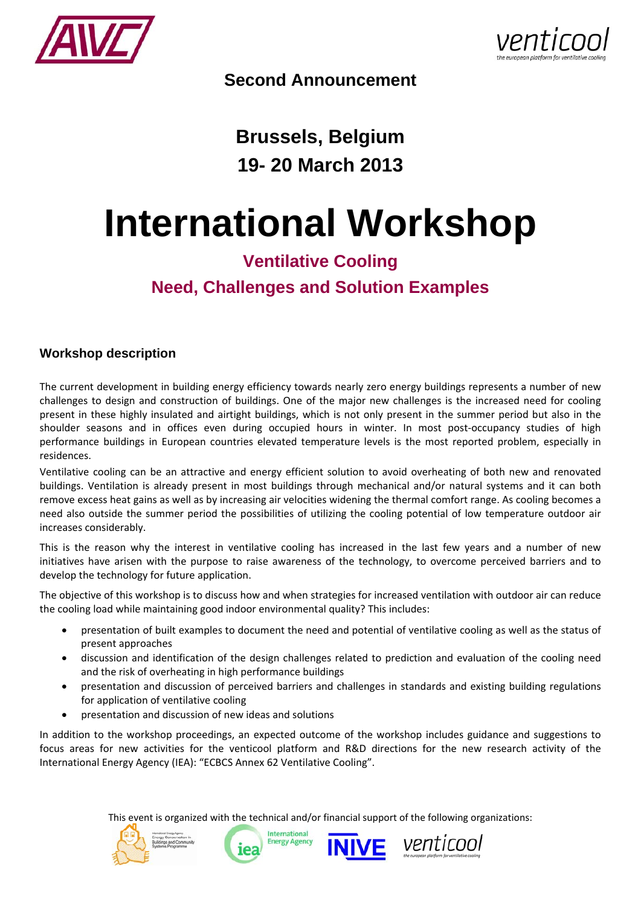



**Second Announcement** 

**Brussels, Belgium 19- 20 March 2013** 

# **International Workshop**

# **Ventilative Cooling Need, Challenges and Solution Examples**

# **Workshop description**

The current development in building energy efficiency towards nearly zero energy buildings represents a number of new challenges to design and construction of buildings. One of the major new challenges is the increased need for cooling present in these highly insulated and airtight buildings, which is not only present in the summer period but also in the shoulder seasons and in offices even during occupied hours in winter. In most post-occupancy studies of high performance buildings in European countries elevated temperature levels is the most reported problem, especially in residences.

Ventilative cooling can be an attractive and energy efficient solution to avoid overheating of both new and renovated buildings. Ventilation is already present in most buildings through mechanical and/or natural systems and it can both remove excess heat gains as well as by increasing air velocities widening the thermal comfort range. As cooling becomes a need also outside the summer period the possibilities of utilizing the cooling potential of low temperature outdoor air increases considerably.

This is the reason why the interest in ventilative cooling has increased in the last few years and a number of new initiatives have arisen with the purpose to raise awareness of the technology, to overcome perceived barriers and to develop the technology for future application.

The objective of this workshop is to discuss how and when strategies for increased ventilation with outdoor air can reduce the cooling load while maintaining good indoor environmental quality? This includes:

- presentation of built examples to document the need and potential of ventilative cooling as well as the status of present approaches
- discussion and identification of the design challenges related to prediction and evaluation of the cooling need and the risk of overheating in high performance buildings
- presentation and discussion of perceived barriers and challenges in standards and existing building regulations for application of ventilative cooling
- presentation and discussion of new ideas and solutions

In addition to the workshop proceedings, an expected outcome of the workshop includes guidance and suggestions to focus areas for new activities for the venticool platform and R&D directions for the new research activity of the International Energy Agency (IEA): "ECBCS Annex 62 Ventilative Cooling".

This event is organized with the technical and/or financial support of the following organizations:







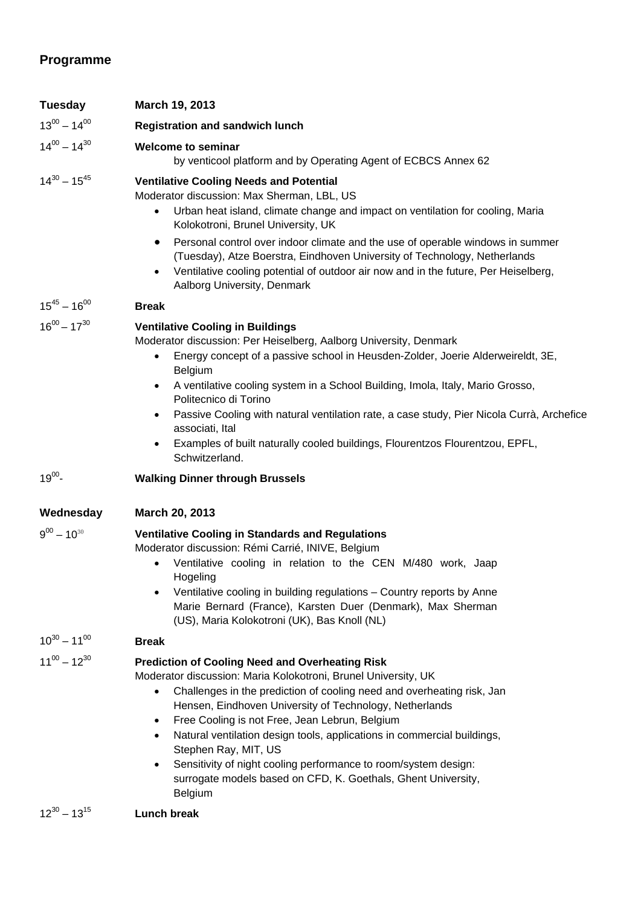# **Programme**

| Tuesday             | March 19, 2013                                                                                                                                                                                                                                                                                                                                                                                                                                                                                                                                                                                           |
|---------------------|----------------------------------------------------------------------------------------------------------------------------------------------------------------------------------------------------------------------------------------------------------------------------------------------------------------------------------------------------------------------------------------------------------------------------------------------------------------------------------------------------------------------------------------------------------------------------------------------------------|
| $13^{00} - 14^{00}$ | <b>Registration and sandwich lunch</b>                                                                                                                                                                                                                                                                                                                                                                                                                                                                                                                                                                   |
| $14^{00} - 14^{30}$ | <b>Welcome to seminar</b><br>by venticool platform and by Operating Agent of ECBCS Annex 62                                                                                                                                                                                                                                                                                                                                                                                                                                                                                                              |
| $14^{30} - 15^{45}$ | <b>Ventilative Cooling Needs and Potential</b><br>Moderator discussion: Max Sherman, LBL, US<br>Urban heat island, climate change and impact on ventilation for cooling, Maria<br>$\bullet$<br>Kolokotroni, Brunel University, UK<br>Personal control over indoor climate and the use of operable windows in summer<br>$\bullet$<br>(Tuesday), Atze Boerstra, Eindhoven University of Technology, Netherlands<br>Ventilative cooling potential of outdoor air now and in the future, Per Heiselberg,<br>Aalborg University, Denmark                                                                      |
| $15^{45} - 16^{00}$ | <b>Break</b>                                                                                                                                                                                                                                                                                                                                                                                                                                                                                                                                                                                             |
| $16^{00} - 17^{30}$ | <b>Ventilative Cooling in Buildings</b><br>Moderator discussion: Per Heiselberg, Aalborg University, Denmark<br>Energy concept of a passive school in Heusden-Zolder, Joerie Alderweireldt, 3E,<br>Belgium<br>A ventilative cooling system in a School Building, Imola, Italy, Mario Grosso,<br>Politecnico di Torino<br>Passive Cooling with natural ventilation rate, a case study, Pier Nicola Currà, Archefice<br>associati, Ital<br>Examples of built naturally cooled buildings, Flourentzos Flourentzou, EPFL,<br>Schwitzerland.                                                                  |
| $19^{00}$ -         | <b>Walking Dinner through Brussels</b>                                                                                                                                                                                                                                                                                                                                                                                                                                                                                                                                                                   |
| Wednesday           | March 20, 2013                                                                                                                                                                                                                                                                                                                                                                                                                                                                                                                                                                                           |
| $9^{00} - 10^{30}$  | <b>Ventilative Cooling in Standards and Regulations</b><br>Moderator discussion: Rémi Carrié, INIVE, Belgium<br>Ventilative cooling in relation to the CEN M/480 work, Jaap<br>Hogeling<br>Ventilative cooling in building regulations - Country reports by Anne<br>Marie Bernard (France), Karsten Duer (Denmark), Max Sherman<br>(US), Maria Kolokotroni (UK), Bas Knoll (NL)                                                                                                                                                                                                                          |
| $10^{30} - 11^{00}$ | <b>Break</b>                                                                                                                                                                                                                                                                                                                                                                                                                                                                                                                                                                                             |
| $11^{00} - 12^{30}$ | <b>Prediction of Cooling Need and Overheating Risk</b><br>Moderator discussion: Maria Kolokotroni, Brunel University, UK<br>Challenges in the prediction of cooling need and overheating risk, Jan<br>Hensen, Eindhoven University of Technology, Netherlands<br>Free Cooling is not Free, Jean Lebrun, Belgium<br>$\bullet$<br>Natural ventilation design tools, applications in commercial buildings,<br>$\bullet$<br>Stephen Ray, MIT, US<br>Sensitivity of night cooling performance to room/system design:<br>$\bullet$<br>surrogate models based on CFD, K. Goethals, Ghent University,<br>Belgium |
| $12^{30} - 13^{15}$ | Lunch break                                                                                                                                                                                                                                                                                                                                                                                                                                                                                                                                                                                              |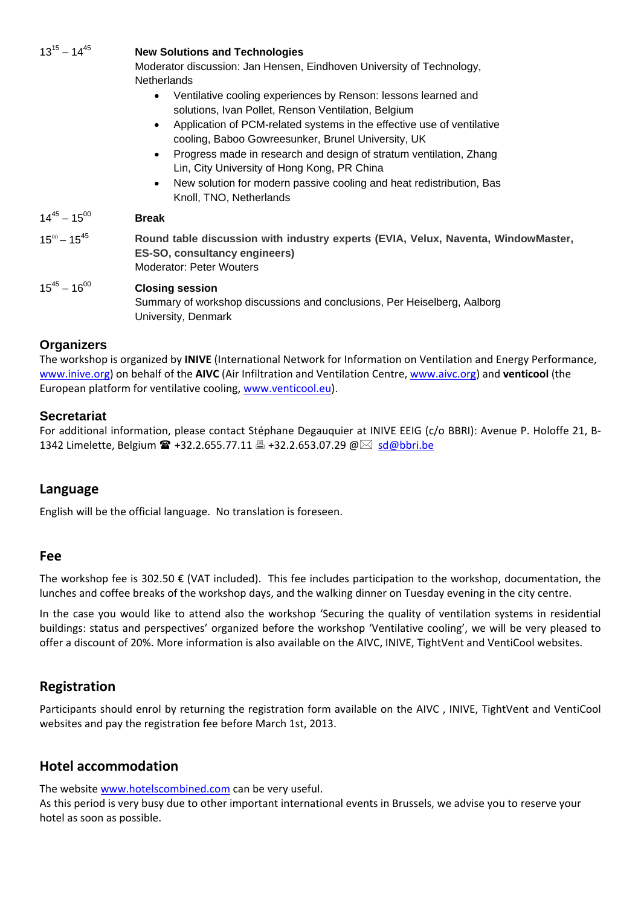| $13^{15} - 14^{45}$ | <b>New Solutions and Technologies</b>                                                                                                                                                                                                                                                                                                                                                                                                                                                                                             |
|---------------------|-----------------------------------------------------------------------------------------------------------------------------------------------------------------------------------------------------------------------------------------------------------------------------------------------------------------------------------------------------------------------------------------------------------------------------------------------------------------------------------------------------------------------------------|
|                     | Moderator discussion: Jan Hensen, Eindhoven University of Technology,                                                                                                                                                                                                                                                                                                                                                                                                                                                             |
|                     | <b>Netherlands</b>                                                                                                                                                                                                                                                                                                                                                                                                                                                                                                                |
|                     | Ventilative cooling experiences by Renson: lessons learned and<br>$\bullet$<br>solutions, Ivan Pollet, Renson Ventilation, Belgium<br>Application of PCM-related systems in the effective use of ventilative<br>$\bullet$<br>cooling, Baboo Gowreesunker, Brunel University, UK<br>Progress made in research and design of stratum ventilation, Zhang<br>$\bullet$<br>Lin, City University of Hong Kong, PR China<br>New solution for modern passive cooling and heat redistribution, Bas<br>$\bullet$<br>Knoll, TNO, Netherlands |
| $14^{45} - 15^{00}$ | <b>Break</b>                                                                                                                                                                                                                                                                                                                                                                                                                                                                                                                      |
| $15^{00} - 15^{45}$ | Round table discussion with industry experts (EVIA, Velux, Naventa, WindowMaster,<br>ES-SO, consultancy engineers)<br><b>Moderator: Peter Wouters</b>                                                                                                                                                                                                                                                                                                                                                                             |
| $15^{45} - 16^{00}$ | <b>Closing session</b><br>Summary of workshop discussions and conclusions, Per Heiselberg, Aalborg<br>University, Denmark                                                                                                                                                                                                                                                                                                                                                                                                         |
| <b>Organizers</b>   |                                                                                                                                                                                                                                                                                                                                                                                                                                                                                                                                   |

The workshop is organized by **INIVE** (International Network for Information on Ventilation and Energy Performance, www.inive.org) on behalf of the **AIVC** (Air Infiltration and Ventilation Centre, www.aivc.org) and **venticool** (the European platform for ventilative cooling, www.venticool.eu).

#### **Secretariat**

For additional information, please contact Stéphane Degauquier at INIVE EEIG (c/o BBRI): Avenue P. Holoffe 21, B-1342 Limelette, Belgium  $\mathbf{m}$  +32.2.655.77.11  $\mathbf{m}$  +32.2.653.07.29  $\mathbf{\emptyset} \boxtimes \mathbf{s}$ d $\mathbf{\emptyset}$ bbri.be

#### **Language**

English will be the official language. No translation is foreseen.

#### **Fee**

The workshop fee is 302.50  $\epsilon$  (VAT included). This fee includes participation to the workshop, documentation, the lunches and coffee breaks of the workshop days, and the walking dinner on Tuesday evening in the city centre.

In the case you would like to attend also the workshop 'Securing the quality of ventilation systems in residential buildings: status and perspectives' organized before the workshop 'Ventilative cooling', we will be very pleased to offer a discount of 20%. More information is also available on the AIVC, INIVE, TightVent and VentiCool websites.

# **Registration**

Participants should enrol by returning the registration form available on the AIVC , INIVE, TightVent and VentiCool websites and pay the registration fee before March 1st, 2013.

#### **Hotel accommodation**

The website www.hotelscombined.com can be very useful.

As this period is very busy due to other important international events in Brussels, we advise you to reserve your hotel as soon as possible.